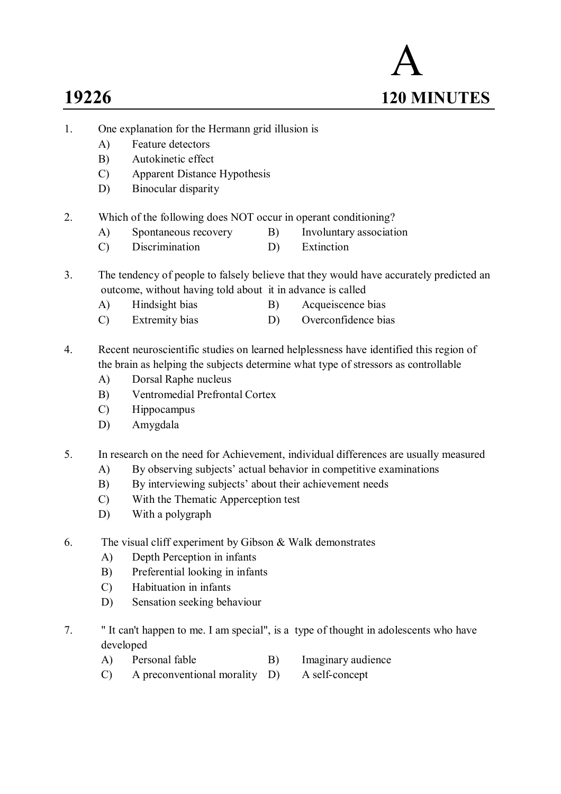# A **19226 120 MINUTES**

- 1. One explanation for the Hermann grid illusion is
	- A) Feature detectors
	- B) Autokinetic effect
	- C) Apparent Distance Hypothesis
	- D) Binocular disparity
- 2. Which of the following does NOT occur in operant conditioning?
	- A) Spontaneous recovery B) Involuntary association
	- C) Discrimination D) Extinction
- 3. The tendency of people to falsely believe that they would have accurately predicted an outcome, without having told about it in advance is called
	- A) Hindsight bias B) Acqueiscence bias
	- C) Extremity bias D) Overconfidence bias
- 4. Recent neuroscientific studies on learned helplessness have identified this region of the brain as helping the subjects determine what type of stressors as controllable
	- A) Dorsal Raphe nucleus
	- B) Ventromedial Prefrontal Cortex
	- C) Hippocampus
	- D) Amygdala
- 5. In research on the need for Achievement, individual differences are usually measured
	- A) By observing subjects' actual behavior in competitive examinations
	- B) By interviewing subjects' about their achievement needs
	- C) With the Thematic Apperception test
	- D) With a polygraph
- 6. The visual cliff experiment by Gibson & Walk demonstrates
	- A) Depth Perception in infants
	- B) Preferential looking in infants
	- C) Habituation in infants
	- D) Sensation seeking behaviour
- 7. " It can't happen to me. I am special", is a type of thought in adolescents who have developed
	- A) Personal fable B) Imaginary audience
		-
	- C) A preconventional morality D) A self-concept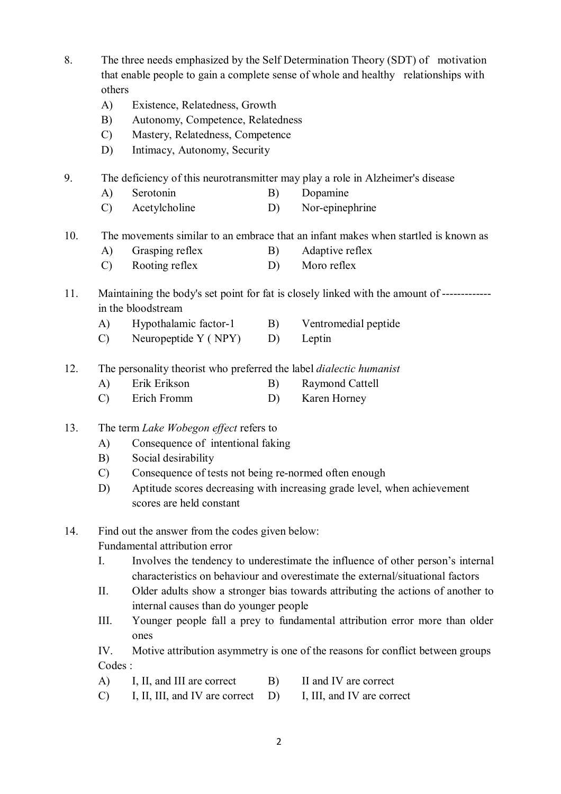- 8. The three needs emphasized by the Self Determination Theory (SDT) of motivation that enable people to gain a complete sense of whole and healthy relationships with others
	- A) Existence, Relatedness, Growth
	- B) Autonomy, Competence, Relatedness
	- C) Mastery, Relatedness, Competence
	- D) Intimacy, Autonomy, Security

9. The deficiency of this neurotransmitter may play a role in Alzheimer's disease

- A) Serotonin B) Dopamine
- C) Acetylcholine D) Nor-epinephrine
- 10. The movements similar to an embrace that an infant makes when startled is known as
	- A) Grasping reflex B) Adaptive reflex
	- C) Rooting reflex D) Moro reflex
- 11. Maintaining the body's set point for fat is closely linked with the amount of ------------ in the bloodstream
	- A) Hypothalamic factor-1 B) Ventromedial peptide
	- C) Neuropeptide Y (NPY) D) Leptin
- 12. The personality theorist who preferred the label *dialectic humanist*
	- A) Erik Erikson B) Raymond Cattell
	- C) Erich Fromm D) Karen Horney
- 13. The term *Lake Wobegon effect* refers to
	- A) Consequence of intentional faking
	- B) Social desirability
	- C) Consequence of tests not being re-normed often enough
	- D) Aptitude scores decreasing with increasing grade level, when achievement scores are held constant
- 14. Find out the answer from the codes given below:

Fundamental attribution error

- I. Involves the tendency to underestimate the influence of other person's internal characteristics on behaviour and overestimate the external/situational factors
- II. Older adults show a stronger bias towards attributing the actions of another to internal causes than do younger people
- III. Younger people fall a prey to fundamental attribution error more than older ones

IV. Motive attribution asymmetry is one of the reasons for conflict between groups Codes :

- A) I, II, and III are correct B) II and IV are correct
- C) I, II, III, and IV are correct D) I, III, and IV are correct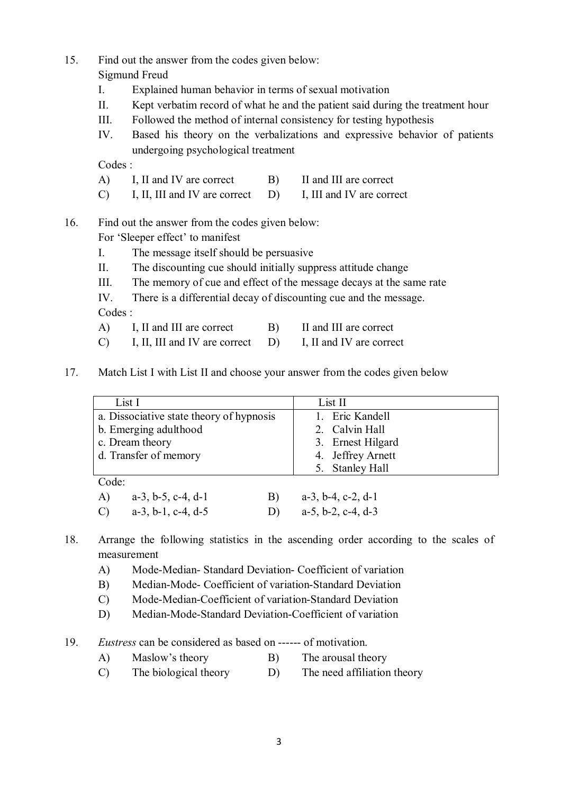Sigmund Freud

- I. Explained human behavior in terms of sexual motivation
- II. Kept verbatim record of what he and the patient said during the treatment hour
- III. Followed the method of internal consistency for testing hypothesis
- IV. Based his theory on the verbalizations and expressive behavior of patients undergoing psychological treatment

Codes :

- A) I, II and IV are correct B) II and III are correct
- C) I, II, III and IV are correct D) I, III and IV are correct

## 16. Find out the answer from the codes given below:

For 'Sleeper effect' to manifest

- I. The message itself should be persuasive
- II. The discounting cue should initially suppress attitude change
- III. The memory of cue and effect of the message decays at the same rate
- IV. There is a differential decay of discounting cue and the message.

Codes :

- A) I, II and III are correct B) II and III are correct
- C) I, II, III and IV are correct D) I, II and IV are correct
- 17. Match List I with List II and choose your answer from the codes given below

| List I                                         | List II                       |
|------------------------------------------------|-------------------------------|
| a. Dissociative state theory of hypnosis       | 1. Eric Kandell               |
| b. Emerging adulthood                          | 2. Calvin Hall                |
| c. Dream theory                                | 3. Ernest Hilgard             |
| d. Transfer of memory                          | 4. Jeffrey Arnett             |
|                                                | 5. Stanley Hall               |
| Code:                                          |                               |
| A)<br>$a-3$ , $b-5$ , $c-4$ , $d-1$<br>B)      | $a-3$ , $b-4$ , $c-2$ , $d-1$ |
| $a-3$ , $b-1$ , $c-4$ , $d-5$<br>$\mathcal{C}$ | $a-5$ , $b-2$ , $c-4$ , $d-3$ |

- 18. Arrange the following statistics in the ascending order according to the scales of measurement
	- A) Mode-Median- Standard Deviation- Coefficient of variation
	- B) Median-Mode- Coefficient of variation-Standard Deviation
	- C) Mode-Median-Coefficient of variation-Standard Deviation
	- D) Median-Mode-Standard Deviation-Coefficient of variation
- 19. *Eustress* can be considered as based on ------ of motivation.
	- A) Maslow's theory B) The arousal theory
	- C) The biological theory D) The need affiliation theory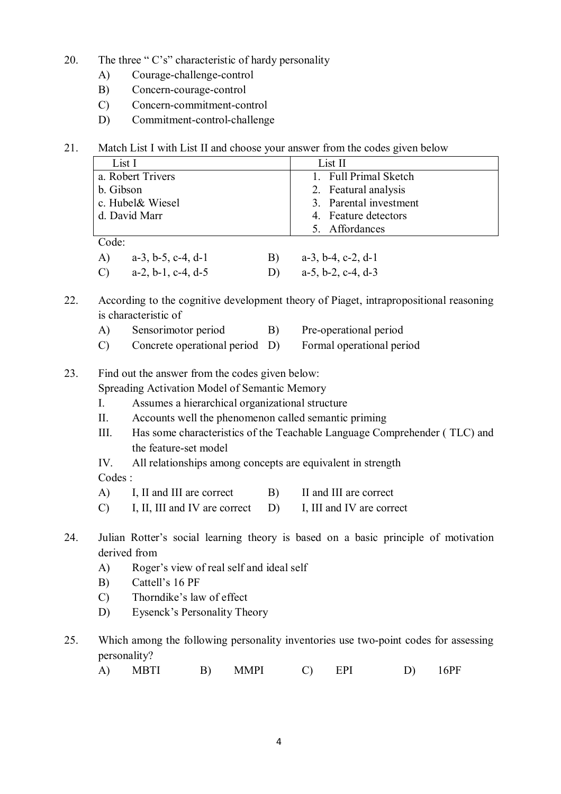- 20. The three " $C's$ " characteristic of hardy personality
	- A) Courage-challenge-control
	- B) Concern-courage-control
	- C) Concern-commitment-control
	- D) Commitment-control-challenge
- 21. Match List I with List II and choose your answer from the codes given below

| List I            | List II                |
|-------------------|------------------------|
| a. Robert Trivers | 1. Full Primal Sketch  |
| b. Gibson         | 2. Featural analysis   |
| c. Hubel& Wiesel  | 3. Parental investment |
| d. David Marr     | 4. Feature detectors   |
|                   | 5. Affordances         |
| Code∙             |                        |

| A) $a-3, b-5, c-4, d-1$ | B) $a-3, b-4, c-2, d-1$  |
|-------------------------|--------------------------|
| C) $a-2, b-1, c-4, d-5$ | D) $a-5$ , b-2, c-4, d-3 |

22. According to the cognitive development theory of Piaget, intrapropositional reasoning is characteristic of

- A) Sensorimotor period B) Pre-operational period
- C) Concrete operational period D) Formal operational period

23. Find out the answer from the codes given below: Spreading Activation Model of Semantic Memory

- I. Assumes a hierarchical organizational structure
- II. Accounts well the phenomenon called semantic priming
- III. Has some characteristics of the Teachable Language Comprehender ( TLC) and the feature-set model
- IV. All relationships among concepts are equivalent in strength

Codes :

- A) I, II and III are correct B) II and III are correct
- C) I, II, III and IV are correct D) I, III and IV are correct
- 24. Julian Rotter's social learning theory is based on a basic principle of motivation derived from
	- A) Roger's view of real self and ideal self
	- B) Cattell's 16 PF
	- C) Thorndike's law of effect
	- D) Eysenck's Personality Theory
- 25. Which among the following personality inventories use two-point codes for assessing personality?
	- A) MBTI B) MMPI C) EPI D) 16PF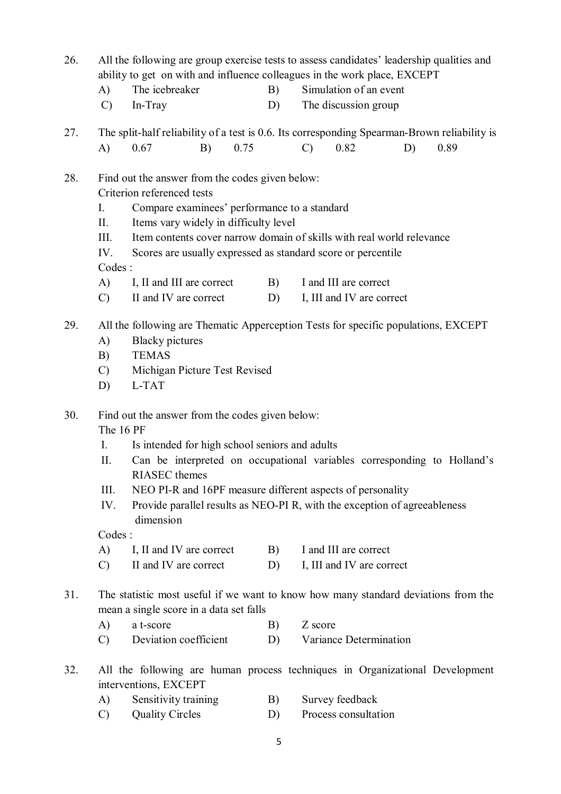- 26. All the following are group exercise tests to assess candidates' leadership qualities and ability to get on with and influence colleagues in the work place, EXCEPT
	- A) The icebreaker B) Simulation of an event
	- C) In-Tray D) The discussion group
- 27. The split-half reliability of a test is 0.6. Its corresponding Spearman-Brown reliability is A) 0.67 B) 0.75 C) 0.82 D) 0.89

#### 28. Find out the answer from the codes given below: Criterion referenced tests

- I. Compare examinees' performance to a standard
- II. Items vary widely in difficulty level
- III. Item contents cover narrow domain of skills with real world relevance
- IV. Scores are usually expressed as standard score or percentile

#### Codes :

- A) I, II and III are correct B) I and III are correct
- C) II and IV are correct D) I, III and IV are correct
- 29. All the following are Thematic Apperception Tests for specific populations, EXCEPT
	- A) Blacky pictures
	- B) TEMAS
	- C) Michigan Picture Test Revised
	- D) L-TAT
- 30. Find out the answer from the codes given below:

The 16 PF

- I. Is intended for high school seniors and adults
- II. Can be interpreted on occupational variables corresponding to Holland's RIASEC themes
- III. NEO PI-R and 16PF measure different aspects of personality
- IV. Provide parallel results as NEO-PI R, with the exception of agreeableness dimension

Codes :

- A) I, II and IV are correct B) I and III are correct
- C) II and IV are correct D) I, III and IV are correct
- 31. The statistic most useful if we want to know how many standard deviations from the mean a single score in a data set falls
	- A) a t-score B) Z score
	- C) Deviation coefficient D) Variance Determination
- 32. All the following are human process techniques in Organizational Development interventions, EXCEPT
	- A) Sensitivity training B) Survey feedback
	- C) Quality Circles D) Process consultation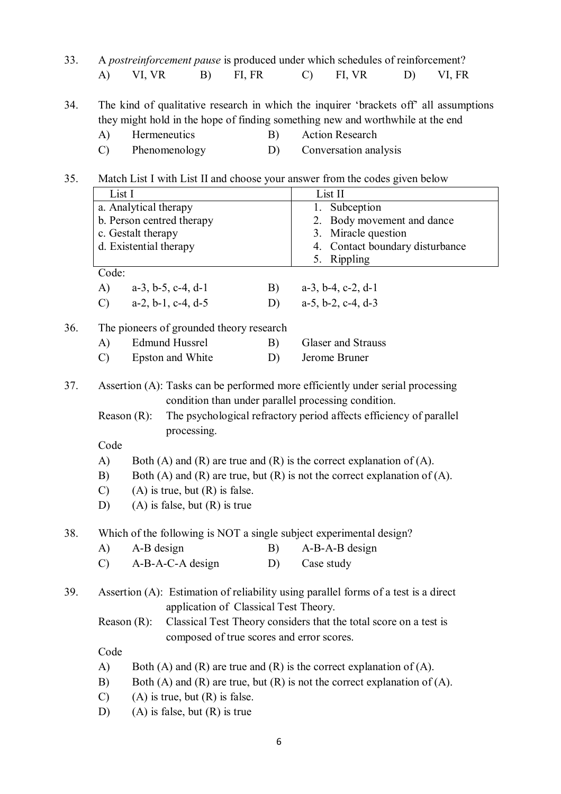33. A *postreinforcement pause* is produced under which schedules of reinforcement? A) VI, VR B) FI, FR C) FI, VR D) VI, FR

34. The kind of qualitative research in which the inquirer 'brackets off' all assumptions they might hold in the hope of finding something new and worthwhile at the end

- A) Hermeneutics B) Action Research
- C) Phenomenology D) Conversation analysis

### 35. Match List I with List II and choose your answer from the codes given below

|     | List I        |                        |                                           |    | List II                                                                                                                               |
|-----|---------------|------------------------|-------------------------------------------|----|---------------------------------------------------------------------------------------------------------------------------------------|
|     |               | a. Analytical therapy  |                                           |    | 1. Subception                                                                                                                         |
|     |               |                        | b. Person centred therapy                 |    | Body movement and dance<br>2.                                                                                                         |
|     |               | c. Gestalt therapy     |                                           |    | Miracle question<br>3.                                                                                                                |
|     |               | d. Existential therapy |                                           |    | Contact boundary disturbance<br>4.                                                                                                    |
|     |               |                        |                                           |    | 5. Rippling                                                                                                                           |
|     | Code:         |                        |                                           |    |                                                                                                                                       |
|     | A)            |                        | $a-3$ , $b-5$ , $c-4$ , $d-1$             | B) | $a-3$ , $b-4$ , $c-2$ , $d-1$                                                                                                         |
|     | $\mathcal{C}$ |                        | $a-2, b-1, c-4, d-5$                      | D) | $a-5$ , $b-2$ , $c-4$ , $d-3$                                                                                                         |
| 36. |               |                        | The pioneers of grounded theory research  |    |                                                                                                                                       |
|     | A)            |                        | <b>Edmund Hussrel</b>                     | B) | <b>Glaser and Strauss</b>                                                                                                             |
|     | $\mathcal{C}$ |                        | Epston and White                          | D) | Jerome Bruner                                                                                                                         |
| 37. |               |                        |                                           |    | Assertion (A): Tasks can be performed more efficiently under serial processing<br>condition than under parallel processing condition. |
|     |               | Reason $(R)$ :         | processing.                               |    | The psychological refractory period affects efficiency of parallel                                                                    |
|     | Code          |                        |                                           |    |                                                                                                                                       |
|     | A)            |                        |                                           |    | Both (A) and (R) are true and (R) is the correct explanation of (A).                                                                  |
|     | B)            |                        |                                           |    | Both (A) and (R) are true, but (R) is not the correct explanation of (A).                                                             |
|     | $\mathcal{C}$ |                        | $(A)$ is true, but $(R)$ is false.        |    |                                                                                                                                       |
|     | D)            |                        | $(A)$ is false, but $(R)$ is true         |    |                                                                                                                                       |
| 38. |               |                        |                                           |    | Which of the following is NOT a single subject experimental design?                                                                   |
|     | A)            | A-B design             |                                           | B) | A-B-A-B design                                                                                                                        |
|     | $\mathcal{C}$ |                        | A-B-A-C-A design                          | D) | Case study                                                                                                                            |
| 39. |               |                        | application of Classical Test Theory.     |    | Assertion (A): Estimation of reliability using parallel forms of a test is a direct                                                   |
|     |               | Reason $(R)$ :         | composed of true scores and error scores. |    | Classical Test Theory considers that the total score on a test is                                                                     |
|     | Code          |                        |                                           |    |                                                                                                                                       |
|     | A)            |                        |                                           |    | Both (A) and (R) are true and (R) is the correct explanation of (A).                                                                  |
|     | B)            |                        |                                           |    | Both $(A)$ and $(R)$ are true, but $(R)$ is not the correct explanation of $(A)$ .                                                    |
|     | $\mathcal{C}$ |                        | $(A)$ is true, but $(R)$ is false.        |    |                                                                                                                                       |
|     | D)            |                        | $(A)$ is false, but $(R)$ is true         |    |                                                                                                                                       |
|     |               |                        |                                           |    |                                                                                                                                       |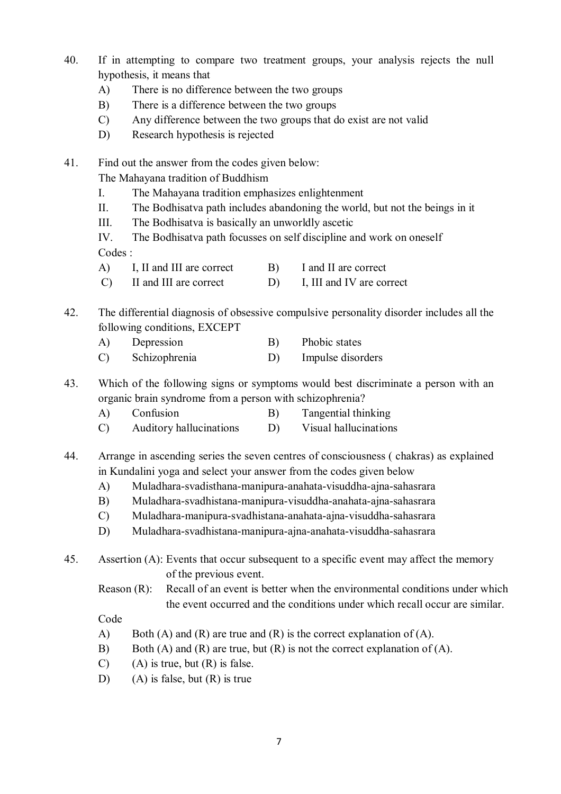- 40. If in attempting to compare two treatment groups, your analysis rejects the null hypothesis, it means that
	- A) There is no difference between the two groups
	- B) There is a difference between the two groups
	- C) Any difference between the two groups that do exist are not valid
	- D) Research hypothesis is rejected

The Mahayana tradition of Buddhism

- I. The Mahayana tradition emphasizes enlightenment
- II. The Bodhisatva path includes abandoning the world, but not the beings in it
- III. The Bodhisatva is basically an unworldly ascetic

IV. The Bodhisatva path focusses on self discipline and work on oneself Codes :

- A) I, II and III are correct B) I and II are correct
- C) II and III are correct D) I, III and IV are correct
- 42. The differential diagnosis of obsessive compulsive personality disorder includes all the following conditions, EXCEPT
	- A) Depression B) Phobic states
	- C) Schizophrenia D) Impulse disorders

43. Which of the following signs or symptoms would best discriminate a person with an organic brain syndrome from a person with schizophrenia?

- A) Confusion B) Tangential thinking
- C) Auditory hallucinations D) Visual hallucinations
- 44. Arrange in ascending series the seven centres of consciousness ( chakras) as explained in Kundalini yoga and select your answer from the codes given below
	- A) Muladhara-svadisthana-manipura-anahata-visuddha-ajna-sahasrara
	- B) Muladhara-svadhistana-manipura-visuddha-anahata-ajna-sahasrara
	- C) Muladhara-manipura-svadhistana-anahata-ajna-visuddha-sahasrara
	- D) Muladhara-svadhistana-manipura-ajna-anahata-visuddha-sahasrara
- 45. Assertion (A): Events that occur subsequent to a specific event may affect the memory of the previous event.
	- Reason (R): Recall of an event is better when the environmental conditions under which the event occurred and the conditions under which recall occur are similar.

Code

- A) Both (A) and (R) are true and (R) is the correct explanation of (A).
- B) Both (A) and (R) are true, but (R) is not the correct explanation of (A).
- $(C)$  (A) is true, but  $(R)$  is false.
- D) (A) is false, but (R) is true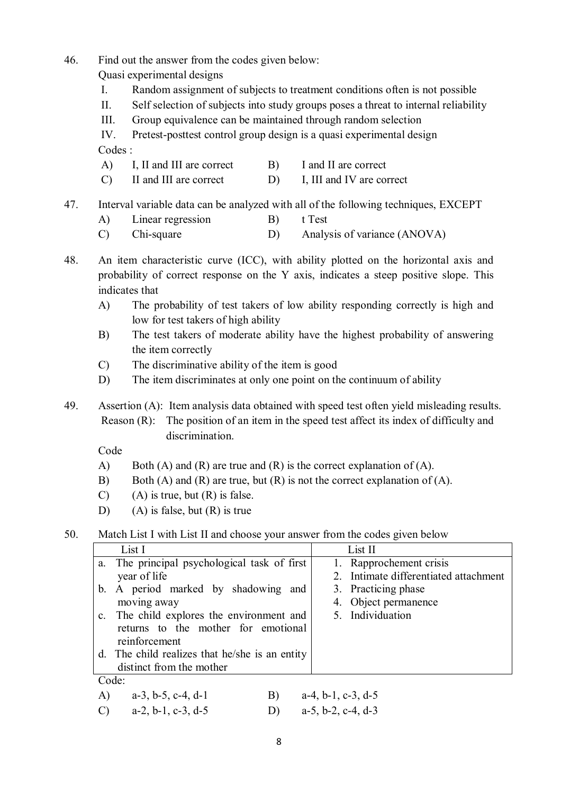Quasi experimental designs

- I. Random assignment of subjects to treatment conditions often is not possible
- II. Self selection of subjects into study groups poses a threat to internal reliability
- III. Group equivalence can be maintained through random selection

IV. Pretest-posttest control group design is a quasi experimental design Codes :

- A) I, II and III are correct B) I and II are correct
- C) II and III are correct D) I, III and IV are correct
- 47. Interval variable data can be analyzed with all of the following techniques, EXCEPT
	- A) Linear regression B) t Test
	- C) Chi-square D) Analysis of variance (ANOVA)
- 48. An item characteristic curve (ICC), with ability plotted on the horizontal axis and probability of correct response on the Y axis, indicates a steep positive slope. This indicates that
	- A) The probability of test takers of low ability responding correctly is high and low for test takers of high ability
	- B) The test takers of moderate ability have the highest probability of answering the item correctly
	- C) The discriminative ability of the item is good
	- D) The item discriminates at only one point on the continuum of ability

49. Assertion (A): Item analysis data obtained with speed test often yield misleading results. Reason (R): The position of an item in the speed test affect its index of difficulty and discrimination.

Code

- A) Both (A) and (R) are true and (R) is the correct explanation of (A).
- B) Both (A) and (R) are true, but (R) is not the correct explanation of (A).
- $(C)$  (A) is true, but  $(R)$  is false.
- D) (A) is false, but  $(R)$  is true

50. Match List I with List II and choose your answer from the codes given below

| List I                                                   | List II                               |
|----------------------------------------------------------|---------------------------------------|
| The principal psychological task of first<br>a.          | 1. Rapprochement crisis               |
| year of life                                             | 2. Intimate differentiated attachment |
| A period marked by shadowing and<br>$b_{\cdot}$          | 3. Practicing phase                   |
| moving away                                              | 4. Object permanence                  |
| The child explores the environment and<br>$\mathbf{c}$ . | 5. Individuation                      |
| returns to the mother for emotional                      |                                       |
| reinforcement                                            |                                       |
| d. The child realizes that he/she is an entity           |                                       |
| distinct from the mother                                 |                                       |
| Code:                                                    |                                       |
| B)<br>A)<br>$a-3$ , b-5, c-4, d-1                        | $a-4, b-1, c-3, d-5$                  |

C)  $a-2, b-1, c-3, d-5$  D)  $a-5, b-2, c-4, d-3$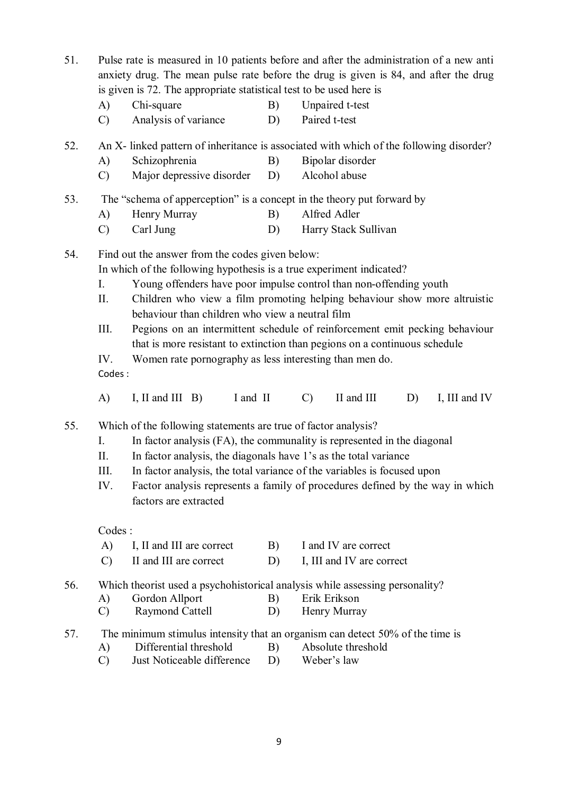- 51. Pulse rate is measured in 10 patients before and after the administration of a new anti anxiety drug. The mean pulse rate before the drug is given is 84, and after the drug is given is 72. The appropriate statistical test to be used here is
	- A) Chi-square B) Unpaired t-test
	- C) Analysis of variance D) Paired t-test
- 52. An X- linked pattern of inheritance is associated with which of the following disorder?
	- A) Schizophrenia B) Bipolar disorder
	- C) Major depressive disorder D) Alcohol abuse
- 53. The "schema of apperception" is a concept in the theory put forward by
	- A) Henry Murray B) Alfred Adler
	- C) Carl Jung D) Harry Stack Sullivan

In which of the following hypothesis is a true experiment indicated?

- I. Young offenders have poor impulse control than non-offending youth
- II. Children who view a film promoting helping behaviour show more altruistic behaviour than children who view a neutral film
- III. Pegions on an intermittent schedule of reinforcement emit pecking behaviour that is more resistant to extinction than pegions on a continuous schedule
- IV. Women rate pornography as less interesting than men do.
- Codes :
- A) I, II and III B) I and II C) II and III D) I, III and IV

55. Which of the following statements are true of factor analysis?

- I. In factor analysis (FA), the communality is represented in the diagonal
- II. In factor analysis, the diagonals have 1's as the total variance
- III. In factor analysis, the total variance of the variables is focused upon
- IV. Factor analysis represents a family of procedures defined by the way in which factors are extracted

Codes :

- A) I, II and III are correct B) I and IV are correct
- C) II and III are correct D) I, III and IV are correct

56. Which theorist used a psychohistorical analysis while assessing personality?

- A) Gordon Allport B) Erik Erikson
- C) Raymond Cattell D) Henry Murray
- 57. The minimum stimulus intensity that an organism can detect 50% of the time is
	- A) Differential threshold B) Absolute threshold
	- C) Just Noticeable difference D) Weber's law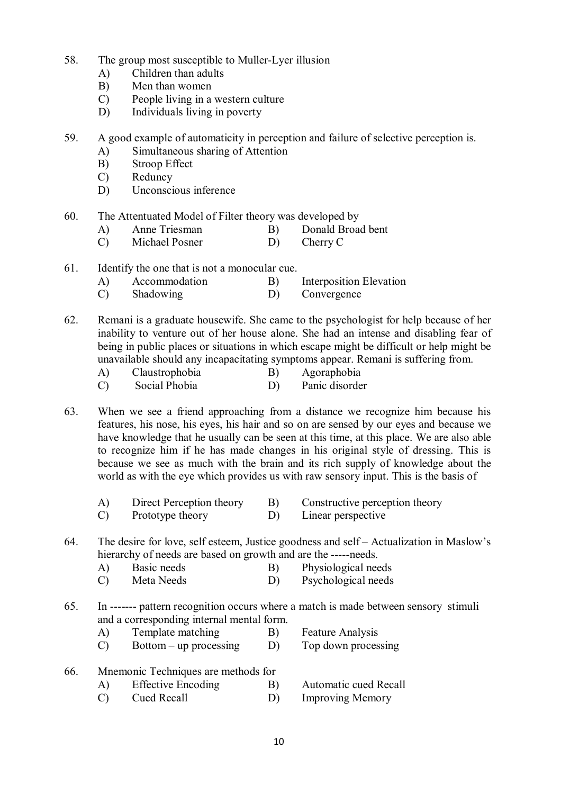- 58. The group most susceptible to Muller-Lyer illusion
	- A) Children than adults
	- B) Men than women
	- C) People living in a western culture
	- D) Individuals living in poverty

59. A good example of automaticity in perception and failure of selective perception is.

- A) Simultaneous sharing of Attention
- B) Stroop Effect
- C) Reduncy
- D) Unconscious inference
- 60. The Attentuated Model of Filter theory was developed by
	- A) Anne Triesman B) Donald Broad bent
	- C) Michael Posner D) Cherry C
- 61. Identify the one that is not a monocular cue.
	- A) Accommodation B) Interposition Elevation
	- C) Shadowing D) Convergence
- 62. Remani is a graduate housewife. She came to the psychologist for help because of her inability to venture out of her house alone. She had an intense and disabling fear of being in public places or situations in which escape might be difficult or help might be unavailable should any incapacitating symptoms appear. Remani is suffering from.
	- A) Claustrophobia B) Agoraphobia
	- C) Social Phobia D) Panic disorder
- 63. When we see a friend approaching from a distance we recognize him because his features, his nose, his eyes, his hair and so on are sensed by our eyes and because we have knowledge that he usually can be seen at this time, at this place. We are also able to recognize him if he has made changes in his original style of dressing. This is because we see as much with the brain and its rich supply of knowledge about the world as with the eye which provides us with raw sensory input. This is the basis of
	- A) Direct Perception theory B) Constructive perception theory
	- C) Prototype theory D) Linear perspective
- 64. The desire for love, self esteem, Justice goodness and self Actualization in Maslow's hierarchy of needs are based on growth and are the -----needs.
	- A) Basic needs B) Physiological needs
	- C) Meta Needs D) Psychological needs
- 65. In ------- pattern recognition occurs where a match is made between sensory stimuli and a corresponding internal mental form.
	- A) Template matching B) Feature Analysis
	- C) Bottom up processing D) Top down processing
- 66. Mnemonic Techniques are methods for
	- A) Effective Encoding B) Automatic cued Recall
	- C) Cued Recall D) Improving Memory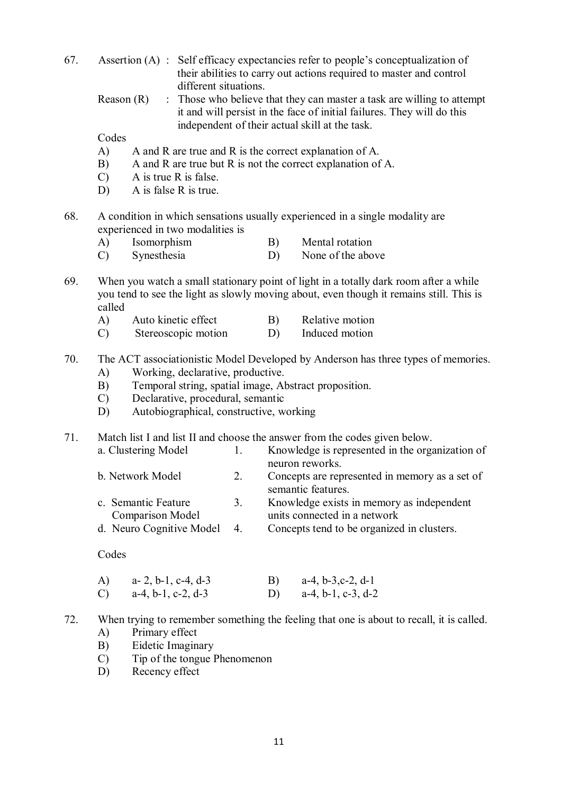- 67. Assertion (A) : Self efficacy expectancies refer to people's conceptualization of their abilities to carry out actions required to master and control different situations.
	- Reason  $(R)$ : Those who believe that they can master a task are willing to attempt it and will persist in the face of initial failures. They will do this independent of their actual skill at the task.

Codes

- A) A and R are true and R is the correct explanation of A.
- B) A and R are true but R is not the correct explanation of A.
- C) A is true R is false.
- D) A is false R is true.
- 68. A condition in which sensations usually experienced in a single modality are experienced in two modalities is
	- A) Isomorphism B) Mental rotation
		-
	- C) Synesthesia D) None of the above
- 69. When you watch a small stationary point of light in a totally dark room after a while you tend to see the light as slowly moving about, even though it remains still. This is called
	- A) Auto kinetic effect B) Relative motion
	- C) Stereoscopic motion D) Induced motion
- 70. The ACT associationistic Model Developed by Anderson has three types of memories.
	- A) Working, declarative, productive.
	- B) Temporal string, spatial image, Abstract proposition.
	- C) Declarative, procedural, semantic
	- D) Autobiographical, constructive, working

71. Match list I and list II and choose the answer from the codes given below.

| a. Clustering Model      |                | Knowledge is represented in the organization of |
|--------------------------|----------------|-------------------------------------------------|
|                          |                | neuron reworks.                                 |
| b. Network Model         | 2.             | Concepts are represented in memory as a set of  |
|                          |                | semantic features.                              |
| c. Semantic Feature      | 3 <sub>1</sub> | Knowledge exists in memory as independent       |
| <b>Comparison Model</b>  |                | units connected in a network                    |
| d. Neuro Cognitive Model | $\overline{4}$ | Concepts tend to be organized in clusters.      |
|                          |                |                                                 |

- A) a- 2, b-1, c-4, d-3 B) a-4, b-3,c-2, d-1 C) a-4, b-1, c-2, d-3 D) a-4, b-1, c-3, d-2
- 72. When trying to remember something the feeling that one is about to recall, it is called.
	- A) Primary effect
	- B) Eidetic Imaginary
	- C) Tip of the tongue Phenomenon
	- D) Recency effect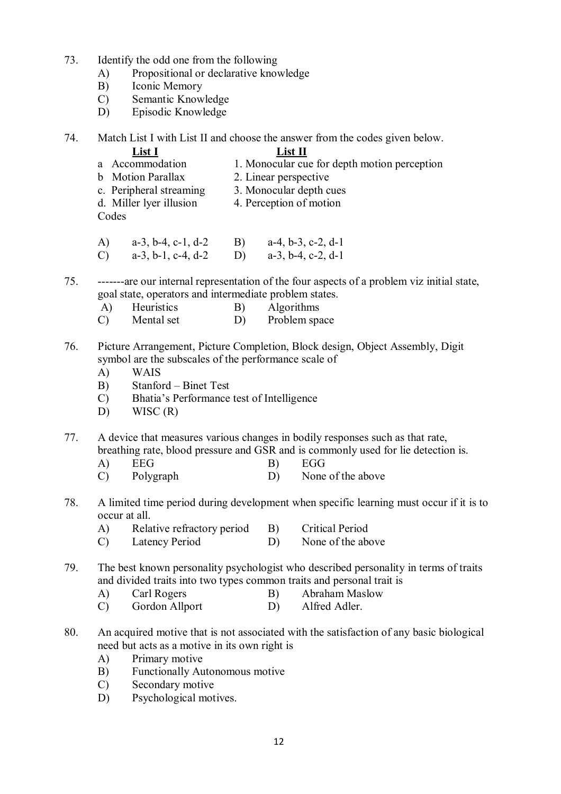- 73. Identify the odd one from the following
	- A) Propositional or declarative knowledge
	- B) Iconic Memory
	- C) Semantic Knowledge
	- D) Episodic Knowledge
- 74. Match List I with List II and choose the answer from the codes given below.

- **List I**<br>a Accommodation 1 Monocular cu 1. Monocular cue for depth motion perception
- b Motion Parallax 2. Linear perspective
- c. Peripheral streaming 3. Monocular depth cues
- d. Miller lyer illusion 4. Perception of motion
- Codes
- 
- A) a-3, b-4, c-1, d-2 B) a-4, b-3, c-2, d-1 C) a-3, b-1, c-4, d-2 D) a-3, b-4, c-2, d-1
- 75. -------are our internal representation of the four aspects of a problem viz initial state, goal state, operators and intermediate problem states.
	- A) Heuristics B) Algorithms
	- C) Mental set D) Problem space
- 76. Picture Arrangement, Picture Completion, Block design, Object Assembly, Digit symbol are the subscales of the performance scale of
	- A) WAIS
	- B) Stanford Binet Test
	- C) Bhatia's Performance test of Intelligence
	- $D)$  WISC  $(R)$

77. A device that measures various changes in bodily responses such as that rate, breathing rate, blood pressure and GSR and is commonly used for lie detection is.

- A) EEG B) EGG
- C) Polygraph D) None of the above
- 78. A limited time period during development when specific learning must occur if it is to occur at all.
	- A) Relative refractory period B) Critical Period
	- C) Latency Period D) None of the above
- 79. The best known personality psychologist who described personality in terms of traits and divided traits into two types common traits and personal trait is
	- A) Carl Rogers B) Abraham Maslow
	- C) Gordon Allport D) Alfred Adler.
- 80. An acquired motive that is not associated with the satisfaction of any basic biological need but acts as a motive in its own right is
	- A) Primary motive
	- B) Functionally Autonomous motive
	- C) Secondary motive
	- D) Psychological motives.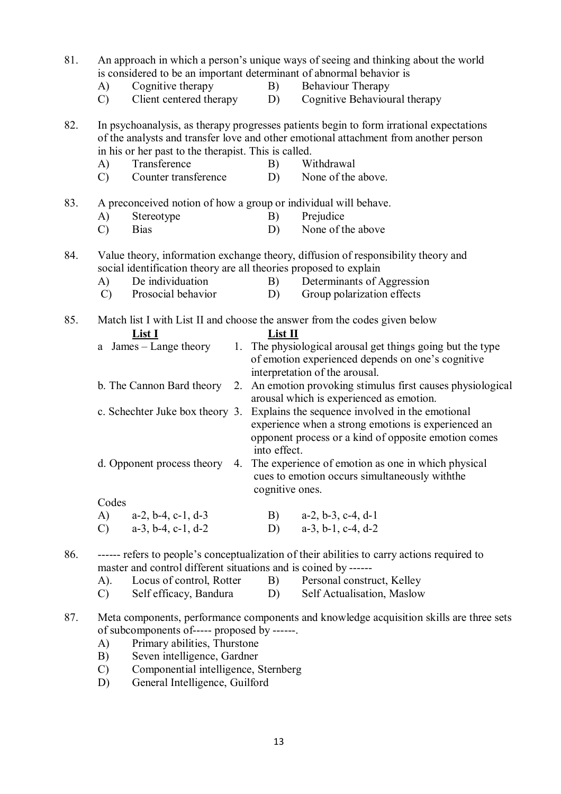| 81. | is considered to be an important determinant of abnormal behavior is                                           |                 | An approach in which a person's unique ways of seeing and thinking about the world                                                                                              |
|-----|----------------------------------------------------------------------------------------------------------------|-----------------|---------------------------------------------------------------------------------------------------------------------------------------------------------------------------------|
|     |                                                                                                                |                 |                                                                                                                                                                                 |
|     | Cognitive therapy<br>A)                                                                                        | B)              | <b>Behaviour Therapy</b>                                                                                                                                                        |
|     | Client centered therapy<br>$\mathcal{C}$                                                                       | D)              | Cognitive Behavioural therapy                                                                                                                                                   |
| 82. | in his or her past to the therapist. This is called.                                                           |                 | In psychoanalysis, as therapy progresses patients begin to form irrational expectations<br>of the analysts and transfer love and other emotional attachment from another person |
|     | Transference<br>A)                                                                                             | B)              | Withdrawal                                                                                                                                                                      |
|     | Counter transference<br>$\mathcal{C}$                                                                          | D)              | None of the above.                                                                                                                                                              |
| 83. | A preconceived notion of how a group or individual will behave.                                                |                 |                                                                                                                                                                                 |
|     | Stereotype<br>A)                                                                                               | B)              | Prejudice                                                                                                                                                                       |
|     | <b>Bias</b><br>$\mathcal{C}$                                                                                   | D)              | None of the above                                                                                                                                                               |
| 84. | social identification theory are all theories proposed to explain                                              |                 | Value theory, information exchange theory, diffusion of responsibility theory and                                                                                               |
|     | De individuation<br>A)                                                                                         | B)              | Determinants of Aggression                                                                                                                                                      |
|     | Prosocial behavior<br>$\mathcal{C}$                                                                            | D)              | Group polarization effects                                                                                                                                                      |
| 85. | Match list I with List II and choose the answer from the codes given below<br>List I<br>a James – Lange theory | List II         | 1. The physiological arousal get things going but the type                                                                                                                      |
|     |                                                                                                                |                 | of emotion experienced depends on one's cognitive                                                                                                                               |
|     | b. The Cannon Bard theory                                                                                      |                 | interpretation of the arousal.                                                                                                                                                  |
|     |                                                                                                                |                 | 2. An emotion provoking stimulus first causes physiological<br>arousal which is experienced as emotion.                                                                         |
|     | c. Schechter Juke box theory 3.                                                                                |                 | Explains the sequence involved in the emotional                                                                                                                                 |
|     |                                                                                                                |                 | experience when a strong emotions is experienced an                                                                                                                             |
|     |                                                                                                                | into effect.    | opponent process or a kind of opposite emotion comes                                                                                                                            |
|     | d. Opponent process theory                                                                                     | cognitive ones. | 4. The experience of emotion as one in which physical<br>cues to emotion occurs simultaneously with the                                                                         |
|     | Codes                                                                                                          |                 |                                                                                                                                                                                 |
|     | A)<br>$a-2$ , $b-4$ , $c-1$ , $d-3$                                                                            |                 | B) $a-2, b-3, c-4, d-1$                                                                                                                                                         |
|     | $a-3$ , $b-4$ , $c-1$ , $d-2$<br>$\mathcal{C}$                                                                 | D)              | $a-3$ , $b-1$ , $c-4$ , $d-2$                                                                                                                                                   |
|     |                                                                                                                |                 |                                                                                                                                                                                 |
| 86. |                                                                                                                |                 | ------ refers to people's conceptualization of their abilities to carry actions required to                                                                                     |
|     | master and control different situations and is coined by ------                                                |                 |                                                                                                                                                                                 |
|     | Locus of control, Rotter<br>A).                                                                                | B)              | Personal construct, Kelley                                                                                                                                                      |
|     | Self efficacy, Bandura<br>$\mathcal{C}$                                                                        | D)              | Self Actualisation, Maslow                                                                                                                                                      |
| 87. |                                                                                                                |                 | Meta components, performance components and knowledge acquisition skills are three sets                                                                                         |

- of subcomponents of----- proposed by ------.
- A) Primary abilities, Thurstone
- B) Seven intelligence, Gardner
- C) Componential intelligence, Sternberg
- D) General Intelligence, Guilford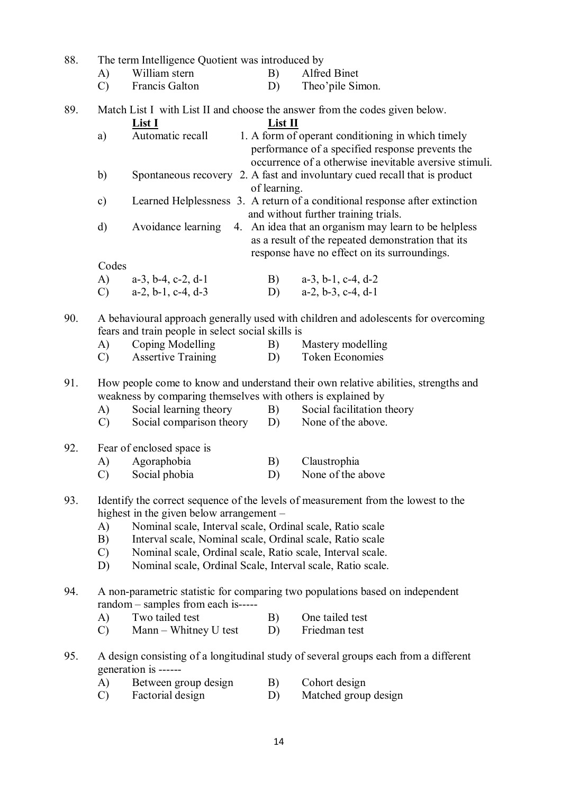| 88. |                                                                                                                                                    | The term Intelligence Quotient was introduced by                                           |         |                                                                                                                                                                 |  |  |
|-----|----------------------------------------------------------------------------------------------------------------------------------------------------|--------------------------------------------------------------------------------------------|---------|-----------------------------------------------------------------------------------------------------------------------------------------------------------------|--|--|
|     | A)                                                                                                                                                 | William stern                                                                              | B)      | Alfred Binet                                                                                                                                                    |  |  |
|     | $\mathcal{C}$                                                                                                                                      | Francis Galton                                                                             | D)      | Theo'pile Simon.                                                                                                                                                |  |  |
| 89. |                                                                                                                                                    | <u>List I</u>                                                                              | List II | Match List I with List II and choose the answer from the codes given below.                                                                                     |  |  |
|     | a)                                                                                                                                                 | Automatic recall                                                                           |         | 1. A form of operant conditioning in which timely<br>performance of a specified response prevents the<br>occurrence of a otherwise inevitable aversive stimuli. |  |  |
|     | b)                                                                                                                                                 | Spontaneous recovery 2. A fast and involuntary cued recall that is product<br>of learning. |         |                                                                                                                                                                 |  |  |
|     | $\mathbf{c})$                                                                                                                                      |                                                                                            |         | Learned Helplessness 3. A return of a conditional response after extinction<br>and without further training trials.                                             |  |  |
|     | d)                                                                                                                                                 | Avoidance learning                                                                         |         | 4. An idea that an organism may learn to be helpless<br>as a result of the repeated demonstration that its<br>response have no effect on its surroundings.      |  |  |
|     | Codes                                                                                                                                              |                                                                                            |         |                                                                                                                                                                 |  |  |
|     | A)                                                                                                                                                 | $a-3$ , $b-4$ , $c-2$ , $d-1$                                                              |         | B) $a-3, b-1, c-4, d-2$                                                                                                                                         |  |  |
|     | $\mathcal{C}$                                                                                                                                      | $a-2$ , $b-1$ , $c-4$ , $d-3$                                                              |         | D) $a-2, b-3, c-4, d-1$                                                                                                                                         |  |  |
| 90. |                                                                                                                                                    | fears and train people in select social skills is                                          |         | A behavioural approach generally used with children and adolescents for overcoming                                                                              |  |  |
|     | A)                                                                                                                                                 | Coping Modelling                                                                           | B)      | Mastery modelling                                                                                                                                               |  |  |
|     | $\mathcal{C}$                                                                                                                                      | <b>Assertive Training</b>                                                                  | D)      | <b>Token Economies</b>                                                                                                                                          |  |  |
| 91. | How people come to know and understand their own relative abilities, strengths and<br>weakness by comparing themselves with others is explained by |                                                                                            |         |                                                                                                                                                                 |  |  |
|     | $\bf{A}$                                                                                                                                           | Social learning theory                                                                     | B)      | Social facilitation theory                                                                                                                                      |  |  |
|     | $\mathcal{C}$                                                                                                                                      | Social comparison theory D) None of the above.                                             |         |                                                                                                                                                                 |  |  |
| 92. |                                                                                                                                                    | Fear of enclosed space is                                                                  |         |                                                                                                                                                                 |  |  |
|     | A)                                                                                                                                                 | Agoraphobia                                                                                | B)      | Claustrophia                                                                                                                                                    |  |  |
|     | $\mathcal{C}$                                                                                                                                      | Social phobia                                                                              | D)      | None of the above                                                                                                                                               |  |  |
| 93. | Identify the correct sequence of the levels of measurement from the lowest to the<br>highest in the given below arrangement –                      |                                                                                            |         |                                                                                                                                                                 |  |  |
|     | Nominal scale, Interval scale, Ordinal scale, Ratio scale<br>A)                                                                                    |                                                                                            |         |                                                                                                                                                                 |  |  |
|     | Interval scale, Nominal scale, Ordinal scale, Ratio scale<br>B)                                                                                    |                                                                                            |         |                                                                                                                                                                 |  |  |
|     | $\mathcal{C}$                                                                                                                                      | Nominal scale, Ordinal scale, Ratio scale, Interval scale.                                 |         |                                                                                                                                                                 |  |  |
|     | Nominal scale, Ordinal Scale, Interval scale, Ratio scale.<br>D)                                                                                   |                                                                                            |         |                                                                                                                                                                 |  |  |
| 94. | A non-parametric statistic for comparing two populations based on independent<br>random – samples from each is-----                                |                                                                                            |         |                                                                                                                                                                 |  |  |
|     | $\bf{A}$                                                                                                                                           | Two tailed test                                                                            | B)      | One tailed test                                                                                                                                                 |  |  |
|     | $\mathcal{C}$                                                                                                                                      | Mann – Whitney U test                                                                      | D)      | Friedman test                                                                                                                                                   |  |  |
| 95. |                                                                                                                                                    | generation is ------                                                                       |         | A design consisting of a longitudinal study of several groups each from a different                                                                             |  |  |
|     | A)                                                                                                                                                 | Between group design                                                                       | B)      | Cohort design                                                                                                                                                   |  |  |
|     | $\mathcal{C}$                                                                                                                                      | Factorial design                                                                           | D)      | Matched group design                                                                                                                                            |  |  |
|     |                                                                                                                                                    |                                                                                            |         |                                                                                                                                                                 |  |  |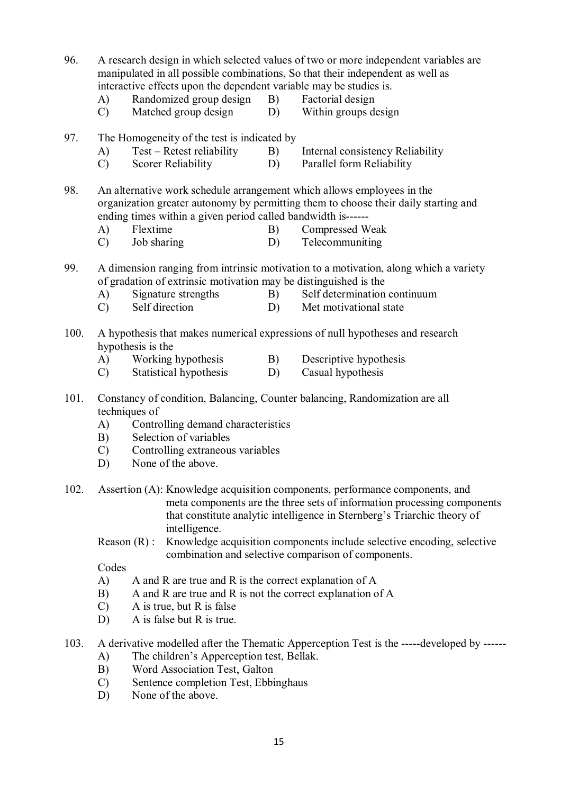96. A research design in which selected values of two or more independent variables are manipulated in all possible combinations, So that their independent as well as interactive effects upon the dependent variable may be studies is.

- A) Randomized group design B) Factorial design
- 
- C) Matched group design D) Within groups design
- 
- 

#### 97. The Homogeneity of the test is indicated by

- 
- A) Test Retest reliability B) Internal consistency Reliability
- C) Scorer Reliability D) Parallel form Reliability

98. An alternative work schedule arrangement which allows employees in the organization greater autonomy by permitting them to choose their daily starting and ending times within a given period called bandwidth is------

- A) Flextime B) Compressed Weak
- C) Job sharing D) Telecommuniting

99. A dimension ranging from intrinsic motivation to a motivation, along which a variety of gradation of extrinsic motivation may be distinguished is the

- A) Signature strengths B) Self determination continuum<br>
C) Self direction D) Met motivational state
- C) Self direction D) Met motivational state
- 100. A hypothesis that makes numerical expressions of null hypotheses and research hypothesis is the
	- A) Working hypothesis B) Descriptive hypothesis
	- C) Statistical hypothesis D) Casual hypothesis
- 101. Constancy of condition, Balancing, Counter balancing, Randomization are all techniques of
	- A) Controlling demand characteristics
	- B) Selection of variables
	- C) Controlling extraneous variables
	- D) None of the above.
- 102. Assertion (A): Knowledge acquisition components, performance components, and meta components are the three sets of information processing components that constitute analytic intelligence in Sternberg's Triarchic theory of intelligence.
	- Reason (R) : Knowledge acquisition components include selective encoding, selective combination and selective comparison of components.

- A) A and R are true and R is the correct explanation of A
- B) A and R are true and R is not the correct explanation of A
- C) A is true, but R is false
- D) A is false but R is true.
- 103. A derivative modelled after the Thematic Apperception Test is the -----developed by ------
	- A) The children's Apperception test, Bellak.
	- B) Word Association Test, Galton
	- C) Sentence completion Test, Ebbinghaus
	- D) None of the above.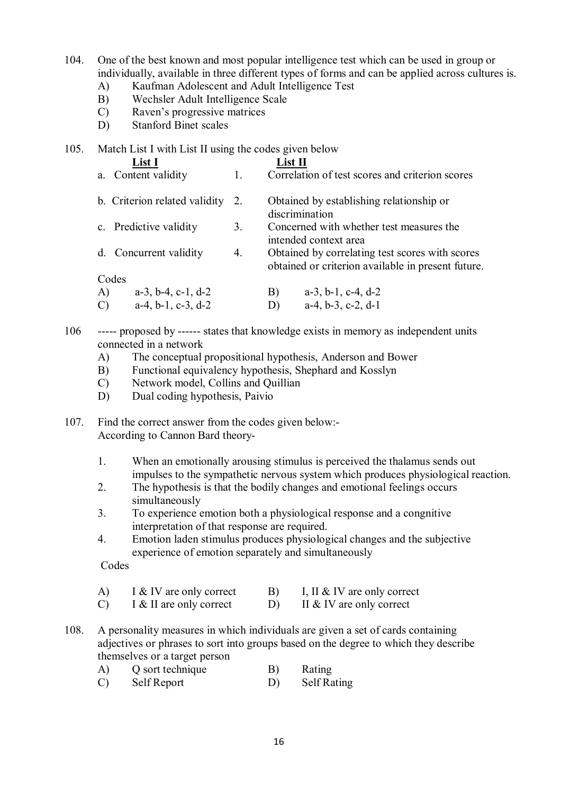- 104. One of the best known and most popular intelligence test which can be used in group or individually, available in three different types of forms and can be applied across cultures is.
	- A) Kaufman Adolescent and Adult Intelligence Test
	- B) Wechsler Adult Intelligence Scale
	- C) Raven's progressive matrices
	- D) Stanford Binet scales

#### 105. Match List I with List II using the codes given below

| List I                              |    | $List$ $\Pi$                                                                                          |
|-------------------------------------|----|-------------------------------------------------------------------------------------------------------|
| a. Content validity                 | 1. | Correlation of test scores and criterion scores                                                       |
| b. Criterion related validity       | 2. | Obtained by establishing relationship or<br>discrimination                                            |
| c. Predictive validity              | 3. | Concerned with whether test measures the<br>intended context area                                     |
| Concurrent validity<br>d.           | 4. | Obtained by correlating test scores with scores<br>obtained or criterion available in present future. |
| Codes                               |    |                                                                                                       |
| A)<br>$a-3$ , $b-4$ , $c-1$ , $d-2$ |    | B)<br>$a-3$ , $b-1$ , $c-4$ , $d-2$                                                                   |
| $a-4, b-1, c-3, d-2$                |    | $a-4, b-3, c-2, d-1$<br>D)                                                                            |

- 106 ----- proposed by ------ states that knowledge exists in memory as independent units connected in a network
	- A) The conceptual propositional hypothesis, Anderson and Bower
	- B) Functional equivalency hypothesis, Shephard and Kosslyn
	- C) Network model, Collins and Quillian
	- D) Dual coding hypothesis, Paivio

107. Find the correct answer from the codes given below:- According to Cannon Bard theory-

- 1. When an emotionally arousing stimulus is perceived the thalamus sends out impulses to the sympathetic nervous system which produces physiological reaction.
- 2. The hypothesis is that the bodily changes and emotional feelings occurs simultaneously
- 3. To experience emotion both a physiological response and a congnitive interpretation of that response are required.
- 4. Emotion laden stimulus produces physiological changes and the subjective experience of emotion separately and simultaneously

- A) I & IV are only correct B) I, II & IV are only correct
- C) I & II are only correct D) II & IV are only correct
- 108. A personality measures in which individuals are given a set of cards containing adjectives or phrases to sort into groups based on the degree to which they describe themselves or a target person
	- A) Q sort technique B) Rating
	- C) Self Report D) Self Rating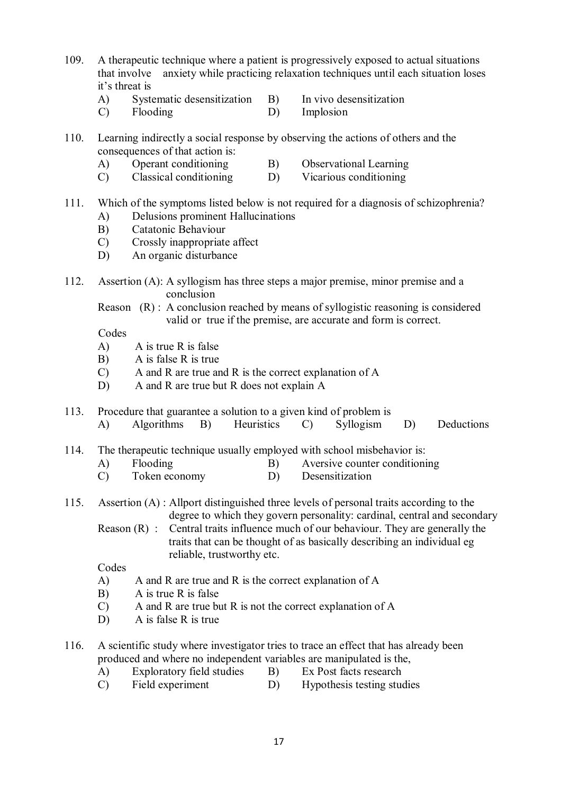- 109. A therapeutic technique where a patient is progressively exposed to actual situations that involve anxiety while practicing relaxation techniques until each situation loses it's threat is
	- A) Systematic desensitization B) In vivo desensitization
	- C) Flooding D) Implosion
- 110. Learning indirectly a social response by observing the actions of others and the consequences of that action is:
	- A) Operant conditioning B) Observational Learning
	- C) Classical conditioning D) Vicarious conditioning

## 111. Which of the symptoms listed below is not required for a diagnosis of schizophrenia?

- A) Delusions prominent Hallucinations
- B) Catatonic Behaviour
- C) Crossly inappropriate affect
- D) An organic disturbance
- 112. Assertion (A): A syllogism has three steps a major premise, minor premise and a conclusion
	- Reason (R) : A conclusion reached by means of syllogistic reasoning is considered valid or true if the premise, are accurate and form is correct.

Codes

- A) A is true R is false
- B) A is false R is true
- C) A and R are true and R is the correct explanation of A
- D) A and R are true but R does not explain A
- 113. Procedure that guarantee a solution to a given kind of problem is
	- A) Algorithms B) Heuristics C) Syllogism D) Deductions

114. The therapeutic technique usually employed with school misbehavior is:

- A) Flooding B) Aversive counter conditioning
- C) Token economy D) Desensitization
- 115. Assertion (A) : Allport distinguished three levels of personal traits according to the degree to which they govern personality: cardinal, central and secondary
	- Reason (R) : Central traits influence much of our behaviour. They are generally the traits that can be thought of as basically describing an individual eg reliable, trustworthy etc.

- A) A and R are true and R is the correct explanation of A
- B) A is true R is false
- C) A and R are true but R is not the correct explanation of A
- D) A is false R is true
- 116. A scientific study where investigator tries to trace an effect that has already been produced and where no independent variables are manipulated is the,
	- A) Exploratory field studies B) Ex Post facts research
	- C) Field experiment D) Hypothesis testing studies